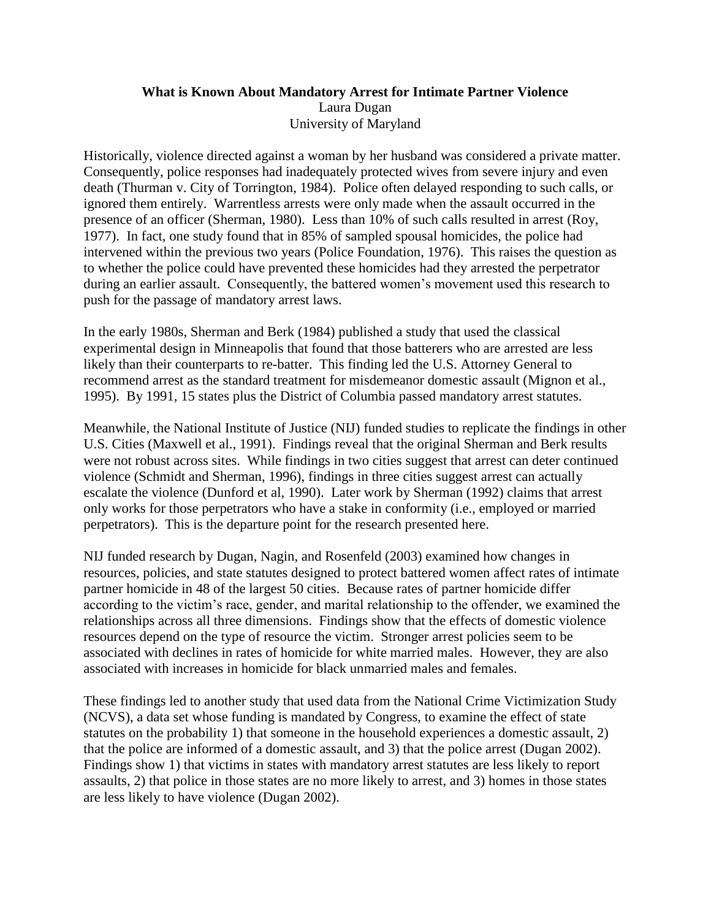## **What is Known About Mandatory Arrest for Intimate Partner Violence** Laura Dugan University of Maryland

Historically, violence directed against a woman by her husband was considered a private matter. Consequently, police responses had inadequately protected wives from severe injury and even death (Thurman v. City of Torrington, 1984). Police often delayed responding to such calls, or ignored them entirely. Warrentless arrests were only made when the assault occurred in the presence of an officer (Sherman, 1980). Less than 10% of such calls resulted in arrest (Roy, 1977). In fact, one study found that in 85% of sampled spousal homicides, the police had intervened within the previous two years (Police Foundation, 1976). This raises the question as to whether the police could have prevented these homicides had they arrested the perpetrator during an earlier assault. Consequently, the battered women's movement used this research to push for the passage of mandatory arrest laws.

In the early 1980s, Sherman and Berk (1984) published a study that used the classical experimental design in Minneapolis that found that those batterers who are arrested are less likely than their counterparts to re-batter. This finding led the U.S. Attorney General to recommend arrest as the standard treatment for misdemeanor domestic assault (Mignon et al., 1995). By 1991, 15 states plus the District of Columbia passed mandatory arrest statutes.

Meanwhile, the National Institute of Justice (NIJ) funded studies to replicate the findings in other U.S. Cities (Maxwell et al., 1991). Findings reveal that the original Sherman and Berk results were not robust across sites. While findings in two cities suggest that arrest can deter continued violence (Schmidt and Sherman, 1996), findings in three cities suggest arrest can actually escalate the violence (Dunford et al, 1990). Later work by Sherman (1992) claims that arrest only works for those perpetrators who have a stake in conformity (i.e., employed or married perpetrators). This is the departure point for the research presented here.

NIJ funded research by Dugan, Nagin, and Rosenfeld (2003) examined how changes in resources, policies, and state statutes designed to protect battered women affect rates of intimate partner homicide in 48 of the largest 50 cities. Because rates of partner homicide differ according to the victim's race, gender, and marital relationship to the offender, we examined the relationships across all three dimensions. Findings show that the effects of domestic violence resources depend on the type of resource the victim. Stronger arrest policies seem to be associated with declines in rates of homicide for white married males. However, they are also associated with increases in homicide for black unmarried males and females.

These findings led to another study that used data from the National Crime Victimization Study (NCVS), a data set whose funding is mandated by Congress, to examine the effect of state statutes on the probability 1) that someone in the household experiences a domestic assault, 2) that the police are informed of a domestic assault, and 3) that the police arrest (Dugan 2002). Findings show 1) that victims in states with mandatory arrest statutes are less likely to report assaults, 2) that police in those states are no more likely to arrest, and 3) homes in those states are less likely to have violence (Dugan 2002).